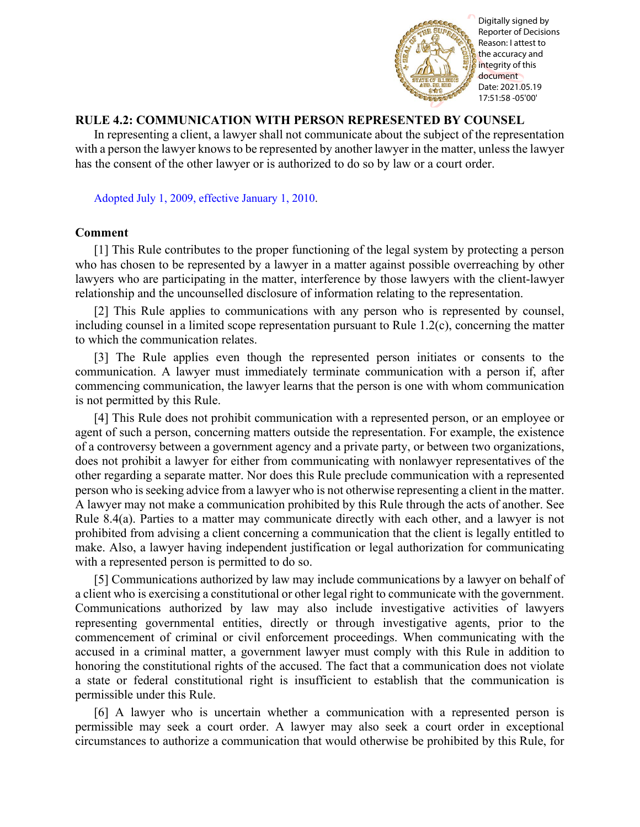

## Reporter of Decisions Reason: I attest to the accuracy and integrity of this document Date: 2021.05.19 17:51:58 -05'00'

## **RULE 4.2: COMMUNICATION WITH PERSON REPRESENTED BY COUNSEL**

In representing a client, a lawyer shall not communicate about the subject of the representation with a person the lawyer knows to be represented by another lawyer in the matter, unless the lawyer has the consent of the other lawyer or is authorized to do so by law or a court order.

[Adopted July 1, 2009, effective January 1, 2010.](http://www.illinoiscourts.gov/files/070109.pdf/amendment)

## **Comment**

[1] This Rule contributes to the proper functioning of the legal system by protecting a person who has chosen to be represented by a lawyer in a matter against possible overreaching by other lawyers who are participating in the matter, interference by those lawyers with the client-lawyer relationship and the uncounselled disclosure of information relating to the representation.

[2] This Rule applies to communications with any person who is represented by counsel, including counsel in a limited scope representation pursuant to Rule 1.2(c), concerning the matter to which the communication relates.

[3] The Rule applies even though the represented person initiates or consents to the communication. A lawyer must immediately terminate communication with a person if, after commencing communication, the lawyer learns that the person is one with whom communication is not permitted by this Rule.

[4] This Rule does not prohibit communication with a represented person, or an employee or agent of such a person, concerning matters outside the representation. For example, the existence of a controversy between a government agency and a private party, or between two organizations, does not prohibit a lawyer for either from communicating with nonlawyer representatives of the other regarding a separate matter. Nor does this Rule preclude communication with a represented person who is seeking advice from a lawyer who is not otherwise representing a client in the matter. A lawyer may not make a communication prohibited by this Rule through the acts of another. See Rule 8.4(a). Parties to a matter may communicate directly with each other, and a lawyer is not prohibited from advising a client concerning a communication that the client is legally entitled to make. Also, a lawyer having independent justification or legal authorization for communicating with a represented person is permitted to do so. Figure 12) This Rue does not probable to allow the representation that we also the specifical signed with present a communication that we are not allow the properties a communication that we are not allow the properties o

[5] Communications authorized by law may include communications by a lawyer on behalf of a client who is exercising a constitutional or other legal right to communicate with the government. Communications authorized by law may also include investigative activities of lawyers representing governmental entities, directly or through investigative agents, prior to the commencement of criminal or civil enforcement proceedings. When communicating with the accused in a criminal matter, a government lawyer must comply with this Rule in addition to honoring the constitutional rights of the accused. The fact that a communication does not violate a state or federal constitutional right is insufficient to establish that the communication is permissible under this Rule.

[6] A lawyer who is uncertain whether a communication with a represented person is permissible may seek a court order. A lawyer may also seek a court order in exceptional